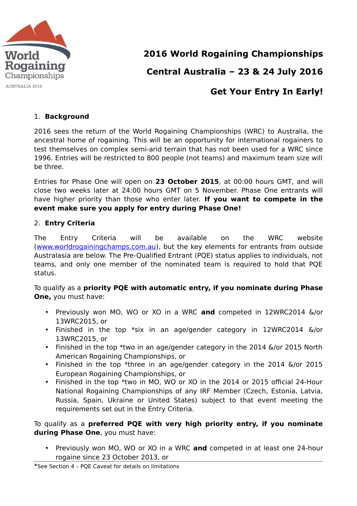

## **2016 World Rogaining Championships**

# **Central Australia – 23 & 24 July 2016**

### **Get Your Entry In Early!**

#### 1. **Background**

2016 sees the return of the World Rogaining Championships (WRC) to Australia, the ancestral home of rogaining. This will be an opportunity for international rogainers to test themselves on complex semi-arid terrain that has not been used for a WRC since 1996. Entries will be restricted to 800 people (not teams) and maximum team size will be three.

Entries for Phase One will open on **23 October 2015**, at 00:00 hours GMT, and will close two weeks later at 24:00 hours GMT on 5 November. Phase One entrants will have higher priority than those who enter later. **If you want to compete in the event make sure you apply for entry during Phase One!**

#### 2. **Entry Criteria**

The Entry Criteria will be available on the WRC website [\(www.worldrogainingchamps.com.au\)](http://www.worldrogainingchamps.com.au/), but the key elements for entrants from outside Australasia are below. The Pre-Qualified Entrant (PQE) status applies to individuals, not teams, and only one member of the nominated team is required to hold that PQE status.

To qualify as a **priority PQE with automatic entry, if you nominate during Phase One,** you must have:

- Previously won MO, WO or XO in a WRC **and** competed in 12WRC2014 &/or 13WRC2015, or
- Finished in the top \*six in an age/gender category in 12WRC2014 &/or 13WRC2015, or
- Finished in the top \*two in an age/gender category in the 2014 &/or 2015 North American Rogaining Championships, or
- Finished in the top \*three in an age/gender category in the 2014 &/or 2015 European Rogaining Championships, or
- Finished in the top \*two in MO, WO or XO in the 2014 or 2015 official 24-Hour National Rogaining Championships of any IRF Member (Czech, Estonia, Latvia, Russia, Spain, Ukraine or United States) subject to that event meeting the requirements set out in the Entry Criteria.

#### To qualify as a **preferred PQE with very high priority entry, if you nominate during Phase One**, you must have:

• Previously won MO, WO or XO in a WRC **and** competed in at least one 24-hour rogaine since 23 October 2013, or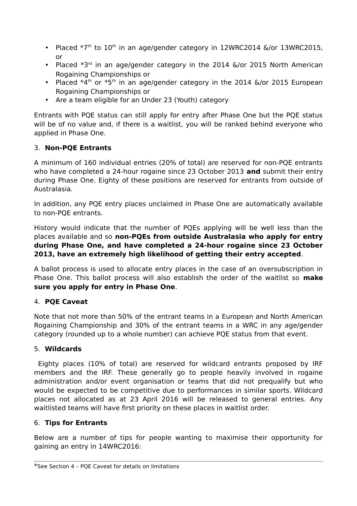- Placed  $*7<sup>th</sup>$  to  $10<sup>th</sup>$  in an age/gender category in 12WRC2014 &/or 13WRC2015, or
- Placed  $*3<sup>rd</sup>$  in an age/gender category in the 2014  $\&$ /or 2015 North American Rogaining Championships or
- Placed  $*4<sup>th</sup>$  or  $*5<sup>th</sup>$  in an age/gender category in the 2014  $\&$ /or 2015 European Rogaining Championships or
- Are a team eligible for an Under 23 (Youth) category

Entrants with PQE status can still apply for entry after Phase One but the PQE status will be of no value and, if there is a waitlist, you will be ranked behind everyone who applied in Phase One.

### 3. **Non-PQE Entrants**

A minimum of 160 individual entries (20% of total) are reserved for non-PQE entrants who have completed a 24-hour rogaine since 23 October 2013 **and** submit their entry during Phase One. Eighty of these positions are reserved for entrants from outside of Australasia.

In addition, any PQE entry places unclaimed in Phase One are automatically available to non-PQE entrants.

History would indicate that the number of PQEs applying will be well less than the places available and so **non-PQEs from outside Australasia who apply for entry during Phase One, and have completed a 24-hour rogaine since 23 October 2013, have an extremely high likelihood of getting their entry accepted**.

A ballot process is used to allocate entry places in the case of an oversubscription in Phase One. This ballot process will also establish the order of the waitlist so **make sure you apply for entry in Phase One**.

#### 4. **PQE Caveat**

Note that not more than 50% of the entrant teams in a European and North American Rogaining Championship and 30% of the entrant teams in a WRC in any age/gender category (rounded up to a whole number) can achieve PQE status from that event.

#### 5. **Wildcards**

 Eighty places (10% of total) are reserved for wildcard entrants proposed by IRF members and the IRF. These generally go to people heavily involved in rogaine administration and/or event organisation or teams that did not prequalify but who would be expected to be competitive due to performances in similar sports. Wildcard places not allocated as at 23 April 2016 will be released to general entries. Any waitlisted teams will have first priority on these places in waitlist order.

#### 6. **Tips for Entrants**

Below are a number of tips for people wanting to maximise their opportunity for gaining an entry in 14WRC2016:

<sup>\*</sup>See Section 4 – PQE Caveat for details on limitations